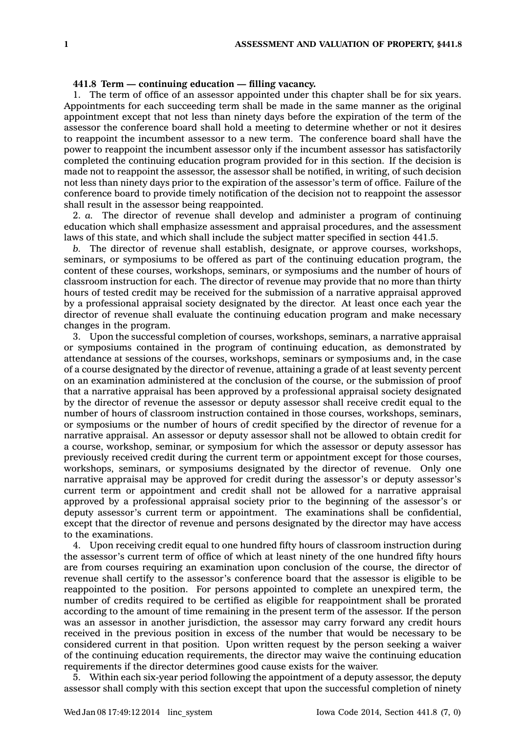## **441.8 Term — continuing education — filling vacancy.**

1. The term of office of an assessor appointed under this chapter shall be for six years. Appointments for each succeeding term shall be made in the same manner as the original appointment except that not less than ninety days before the expiration of the term of the assessor the conference board shall hold <sup>a</sup> meeting to determine whether or not it desires to reappoint the incumbent assessor to <sup>a</sup> new term. The conference board shall have the power to reappoint the incumbent assessor only if the incumbent assessor has satisfactorily completed the continuing education program provided for in this section. If the decision is made not to reappoint the assessor, the assessor shall be notified, in writing, of such decision not less than ninety days prior to the expiration of the assessor's term of office. Failure of the conference board to provide timely notification of the decision not to reappoint the assessor shall result in the assessor being reappointed.

2. *a.* The director of revenue shall develop and administer <sup>a</sup> program of continuing education which shall emphasize assessment and appraisal procedures, and the assessment laws of this state, and which shall include the subject matter specified in section 441.5.

*b.* The director of revenue shall establish, designate, or approve courses, workshops, seminars, or symposiums to be offered as part of the continuing education program, the content of these courses, workshops, seminars, or symposiums and the number of hours of classroom instruction for each. The director of revenue may provide that no more than thirty hours of tested credit may be received for the submission of <sup>a</sup> narrative appraisal approved by <sup>a</sup> professional appraisal society designated by the director. At least once each year the director of revenue shall evaluate the continuing education program and make necessary changes in the program.

3. Upon the successful completion of courses, workshops, seminars, <sup>a</sup> narrative appraisal or symposiums contained in the program of continuing education, as demonstrated by attendance at sessions of the courses, workshops, seminars or symposiums and, in the case of <sup>a</sup> course designated by the director of revenue, attaining <sup>a</sup> grade of at least seventy percent on an examination administered at the conclusion of the course, or the submission of proof that <sup>a</sup> narrative appraisal has been approved by <sup>a</sup> professional appraisal society designated by the director of revenue the assessor or deputy assessor shall receive credit equal to the number of hours of classroom instruction contained in those courses, workshops, seminars, or symposiums or the number of hours of credit specified by the director of revenue for <sup>a</sup> narrative appraisal. An assessor or deputy assessor shall not be allowed to obtain credit for <sup>a</sup> course, workshop, seminar, or symposium for which the assessor or deputy assessor has previously received credit during the current term or appointment except for those courses, workshops, seminars, or symposiums designated by the director of revenue. Only one narrative appraisal may be approved for credit during the assessor's or deputy assessor's current term or appointment and credit shall not be allowed for <sup>a</sup> narrative appraisal approved by <sup>a</sup> professional appraisal society prior to the beginning of the assessor's or deputy assessor's current term or appointment. The examinations shall be confidential, except that the director of revenue and persons designated by the director may have access to the examinations.

4. Upon receiving credit equal to one hundred fifty hours of classroom instruction during the assessor's current term of office of which at least ninety of the one hundred fifty hours are from courses requiring an examination upon conclusion of the course, the director of revenue shall certify to the assessor's conference board that the assessor is eligible to be reappointed to the position. For persons appointed to complete an unexpired term, the number of credits required to be certified as eligible for reappointment shall be prorated according to the amount of time remaining in the present term of the assessor. If the person was an assessor in another jurisdiction, the assessor may carry forward any credit hours received in the previous position in excess of the number that would be necessary to be considered current in that position. Upon written request by the person seeking <sup>a</sup> waiver of the continuing education requirements, the director may waive the continuing education requirements if the director determines good cause exists for the waiver.

5. Within each six-year period following the appointment of <sup>a</sup> deputy assessor, the deputy assessor shall comply with this section except that upon the successful completion of ninety